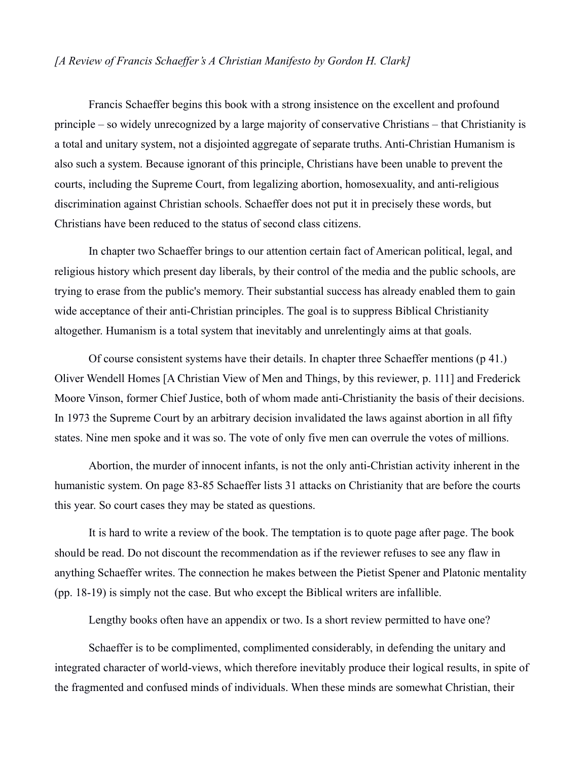## *[A Review of Francis Schaeffer's A Christian Manifesto by Gordon H. Clark]*

Francis Schaeffer begins this book with a strong insistence on the excellent and profound principle – so widely unrecognized by a large majority of conservative Christians – that Christianity is a total and unitary system, not a disjointed aggregate of separate truths. Anti-Christian Humanism is also such a system. Because ignorant of this principle, Christians have been unable to prevent the courts, including the Supreme Court, from legalizing abortion, homosexuality, and anti-religious discrimination against Christian schools. Schaeffer does not put it in precisely these words, but Christians have been reduced to the status of second class citizens.

In chapter two Schaeffer brings to our attention certain fact of American political, legal, and religious history which present day liberals, by their control of the media and the public schools, are trying to erase from the public's memory. Their substantial success has already enabled them to gain wide acceptance of their anti-Christian principles. The goal is to suppress Biblical Christianity altogether. Humanism is a total system that inevitably and unrelentingly aims at that goals.

Of course consistent systems have their details. In chapter three Schaeffer mentions (p 41.) Oliver Wendell Homes [A Christian View of Men and Things, by this reviewer, p. 111] and Frederick Moore Vinson, former Chief Justice, both of whom made anti-Christianity the basis of their decisions. In 1973 the Supreme Court by an arbitrary decision invalidated the laws against abortion in all fifty states. Nine men spoke and it was so. The vote of only five men can overrule the votes of millions.

Abortion, the murder of innocent infants, is not the only anti-Christian activity inherent in the humanistic system. On page 83-85 Schaeffer lists 31 attacks on Christianity that are before the courts this year. So court cases they may be stated as questions.

It is hard to write a review of the book. The temptation is to quote page after page. The book should be read. Do not discount the recommendation as if the reviewer refuses to see any flaw in anything Schaeffer writes. The connection he makes between the Pietist Spener and Platonic mentality (pp. 18-19) is simply not the case. But who except the Biblical writers are infallible.

Lengthy books often have an appendix or two. Is a short review permitted to have one?

Schaeffer is to be complimented, complimented considerably, in defending the unitary and integrated character of world-views, which therefore inevitably produce their logical results, in spite of the fragmented and confused minds of individuals. When these minds are somewhat Christian, their